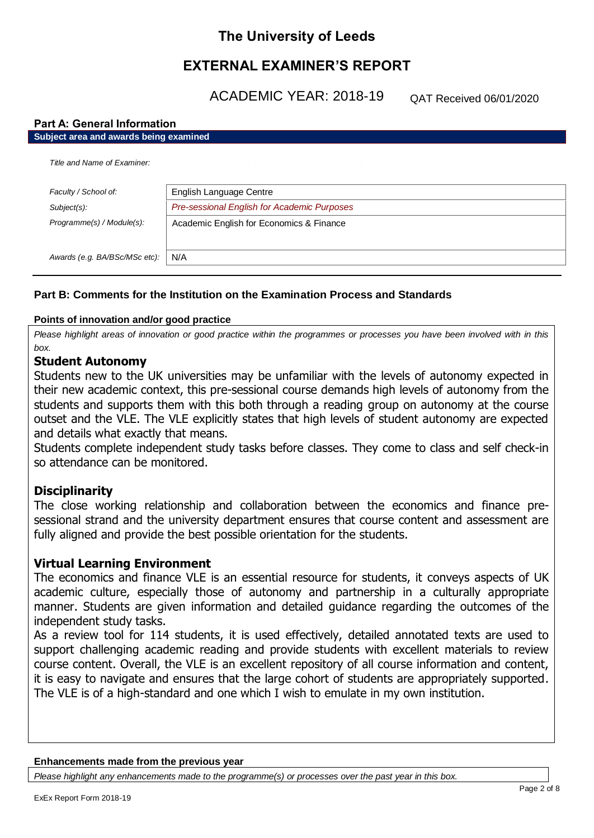# **The University of Leeds**

# **EXTERNAL EXAMINER'S REPORT**

ACADEMIC YEAR: 2018-19

QAT Received 06/01/2020

## **Part A: General Information**

| Subject area and awards being examined |                                             |  |
|----------------------------------------|---------------------------------------------|--|
| Title and Name of Examiner.            |                                             |  |
| Faculty / School of:                   | English Language Centre                     |  |
| $Subject(s)$ :                         | Pre-sessional English for Academic Purposes |  |
| Programme(s) / Module(s):              | Academic English for Economics & Finance    |  |
| Awards (e.g. BA/BSc/MSc etc):          | N/A                                         |  |

## **Part B: Comments for the Institution on the Examination Process and Standards**

## **Points of innovation and/or good practice**

*Please highlight areas of innovation or good practice within the programmes or processes you have been involved with in this box.*

## **Student Autonomy**

Students new to the UK universities may be unfamiliar with the levels of autonomy expected in their new academic context, this pre-sessional course demands high levels of autonomy from the students and supports them with this both through a reading group on autonomy at the course outset and the VLE. The VLE explicitly states that high levels of student autonomy are expected and details what exactly that means.

Students complete independent study tasks before classes. They come to class and self check-in so attendance can be monitored.

## **Disciplinarity**

The close working relationship and collaboration between the economics and finance presessional strand and the university department ensures that course content and assessment are fully aligned and provide the best possible orientation for the students.

## **Virtual Learning Environment**

The economics and finance VLE is an essential resource for students, it conveys aspects of UK academic culture, especially those of autonomy and partnership in a culturally appropriate manner. Students are given information and detailed guidance regarding the outcomes of the independent study tasks.

As a review tool for 114 students, it is used effectively, detailed annotated texts are used to support challenging academic reading and provide students with excellent materials to review course content. Overall, the VLE is an excellent repository of all course information and content, it is easy to navigate and ensures that the large cohort of students are appropriately supported. The VLE is of a high-standard and one which I wish to emulate in my own institution.

### **Enhancements made from the previous year**

*Please highlight any enhancements made to the programme(s) or processes over the past year in this box.*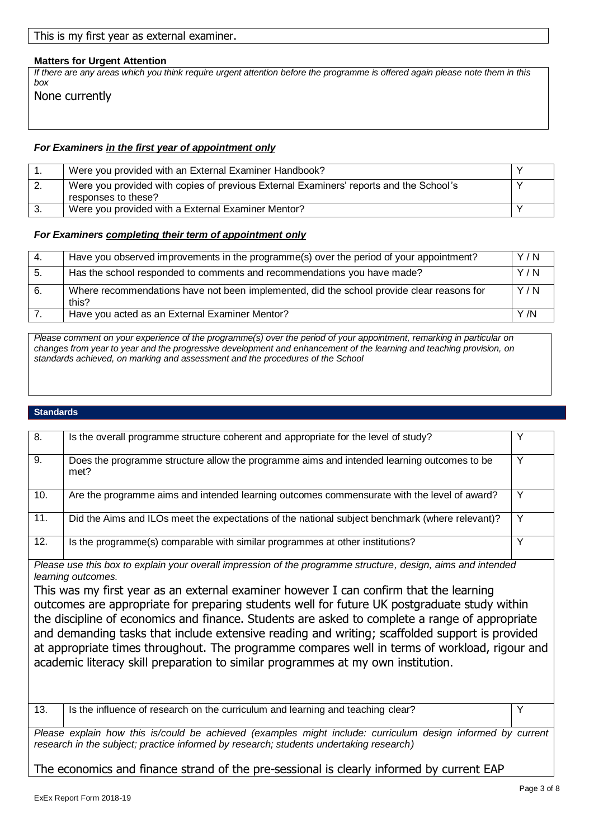None currently

*box*

**Matters for Urgent Attention**

| Were you provided with an External Examiner Handbook?                                                         |  |
|---------------------------------------------------------------------------------------------------------------|--|
| Were you provided with copies of previous External Examiners' reports and the School's<br>responses to these? |  |
| Were you provided with a External Examiner Mentor?                                                            |  |

*If there are any areas which you think require urgent attention before the programme is offered again please note them in this* 

#### *For Examiners completing their term of appointment only*

This is my first year as external examiner.

| -4.  | Have you observed improvements in the programme(s) over the period of your appointment?            | Y/N |
|------|----------------------------------------------------------------------------------------------------|-----|
| -5.  | Has the school responded to comments and recommendations you have made?                            | Y/N |
| - 6. | Where recommendations have not been implemented, did the school provide clear reasons for<br>this? | Y/N |
|      | Have you acted as an External Examiner Mentor?                                                     | Y/N |

*Please comment on your experience of the programme(s) over the period of your appointment, remarking in particular on changes from year to year and the progressive development and enhancement of the learning and teaching provision, on standards achieved, on marking and assessment and the procedures of the School*

#### **Standards**

| 8.  | Is the overall programme structure coherent and appropriate for the level of study?                |   |
|-----|----------------------------------------------------------------------------------------------------|---|
| 9.  | Does the programme structure allow the programme aims and intended learning outcomes to be<br>met? | ∨ |
| 10. | Are the programme aims and intended learning outcomes commensurate with the level of award?        | ◡ |
| 11. | Did the Aims and ILOs meet the expectations of the national subject benchmark (where relevant)?    |   |
| 12. | Is the programme(s) comparable with similar programmes at other institutions?                      | 丷 |

*Please use this box to explain your overall impression of the programme structure, design, aims and intended learning outcomes.*

This was my first year as an external examiner however I can confirm that the learning outcomes are appropriate for preparing students well for future UK postgraduate study within the discipline of economics and finance. Students are asked to complete a range of appropriate and demanding tasks that include extensive reading and writing; scaffolded support is provided at appropriate times throughout. The programme compares well in terms of workload, rigour and academic literacy skill preparation to similar programmes at my own institution.

13. Is the influence of research on the curriculum and learning and teaching clear?

*Please explain how this is/could be achieved (examples might include: curriculum design informed by current research in the subject; practice informed by research; students undertaking research)*

The economics and finance strand of the pre-sessional is clearly informed by current EAP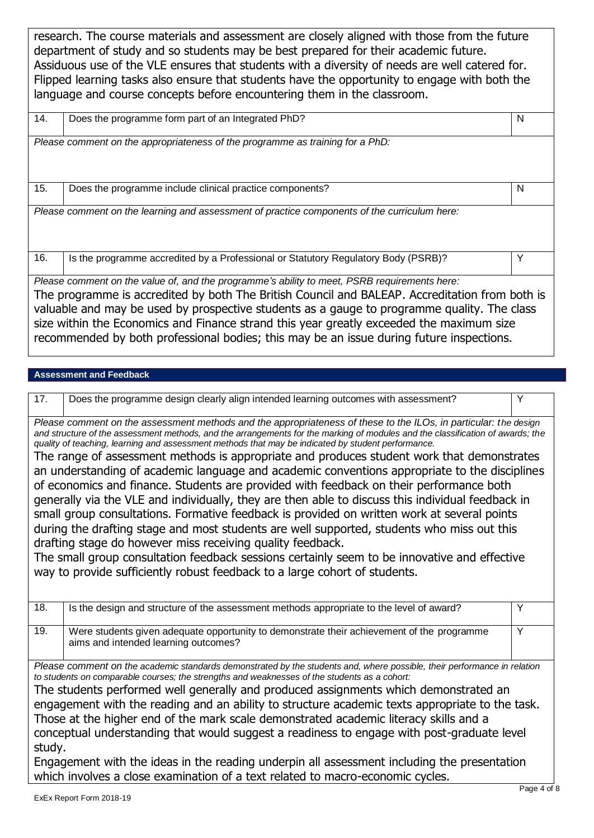research. The course materials and assessment are closely aligned with those from the future department of study and so students may be best prepared for their academic future. Assiduous use of the VLE ensures that students with a diversity of needs are well catered for. Flipped learning tasks also ensure that students have the opportunity to engage with both the language and course concepts before encountering them in the classroom.

| 14.                                                                                                                                                                                                                                                                                                                                                                                   | Does the programme form part of an Integrated PhD?                                           | N |
|---------------------------------------------------------------------------------------------------------------------------------------------------------------------------------------------------------------------------------------------------------------------------------------------------------------------------------------------------------------------------------------|----------------------------------------------------------------------------------------------|---|
|                                                                                                                                                                                                                                                                                                                                                                                       | Please comment on the appropriateness of the programme as training for a PhD:                |   |
| 15.                                                                                                                                                                                                                                                                                                                                                                                   | Does the programme include clinical practice components?                                     | N |
|                                                                                                                                                                                                                                                                                                                                                                                       | Please comment on the learning and assessment of practice components of the curriculum here: |   |
| 16.                                                                                                                                                                                                                                                                                                                                                                                   | Is the programme accredited by a Professional or Statutory Regulatory Body (PSRB)?           | Υ |
|                                                                                                                                                                                                                                                                                                                                                                                       | Please comment on the value of, and the programme's ability to meet, PSRB requirements here: |   |
| The programme is accredited by both The British Council and BALEAP. Accreditation from both is<br>valuable and may be used by prospective students as a gauge to programme quality. The class<br>size within the Economics and Finance strand this year greatly exceeded the maximum size<br>recommended by both professional bodies; this may be an issue during future inspections. |                                                                                              |   |

## **Assessment and Feedback**

| 17. | Does the programme design clearly align intended learning outcomes with assessment?                                                                                                                                                                                                                                                                                                                                                                                                        | Y |
|-----|--------------------------------------------------------------------------------------------------------------------------------------------------------------------------------------------------------------------------------------------------------------------------------------------------------------------------------------------------------------------------------------------------------------------------------------------------------------------------------------------|---|
|     | Please comment on the assessment methods and the appropriateness of these to the ILOs, in particular: the design<br>and structure of the assessment methods, and the arrangements for the marking of modules and the classification of awards; the<br>quality of teaching, learning and assessment methods that may be indicated by student performance.                                                                                                                                   |   |
|     | The range of assessment methods is appropriate and produces student work that demonstrates<br>an understanding of academic language and academic conventions appropriate to the disciplines<br>of economics and finance. Students are provided with feedback on their performance both<br>generally via the VLE and individually, they are then able to discuss this individual feedback in<br>small group consultations. Formative feedback is provided on written work at several points |   |
|     | during the drafting stage and most students are well supported, students who miss out this<br>drafting stage do however miss receiving quality feedback.<br>The small group consultation feedback sessions certainly seem to be innovative and effective<br>way to provide sufficiently robust feedback to a large cohort of students.                                                                                                                                                     |   |

| 18.                                                                                                                                                                                                                                                                                                                                                                                                                                                                                                                                                                                                                  | Is the design and structure of the assessment methods appropriate to the level of award?                                           | Υ |
|----------------------------------------------------------------------------------------------------------------------------------------------------------------------------------------------------------------------------------------------------------------------------------------------------------------------------------------------------------------------------------------------------------------------------------------------------------------------------------------------------------------------------------------------------------------------------------------------------------------------|------------------------------------------------------------------------------------------------------------------------------------|---|
| 19.                                                                                                                                                                                                                                                                                                                                                                                                                                                                                                                                                                                                                  | Were students given adequate opportunity to demonstrate their achievement of the programme<br>aims and intended learning outcomes? | Υ |
| Please comment on the academic standards demonstrated by the students and, where possible, their performance in relation<br>to students on comparable courses; the strengths and weaknesses of the students as a cohort:<br>The students performed well generally and produced assignments which demonstrated an<br>engagement with the reading and an ability to structure academic texts appropriate to the task.<br>Those at the higher end of the mark scale demonstrated academic literacy skills and a<br>conceptual understanding that would suggest a readiness to engage with post-graduate level<br>study. |                                                                                                                                    |   |
| Engagement with the ideas in the reading underpin all assessment including the presentation<br>which involves a close examination of a text related to macro-economic cycles.                                                                                                                                                                                                                                                                                                                                                                                                                                        |                                                                                                                                    |   |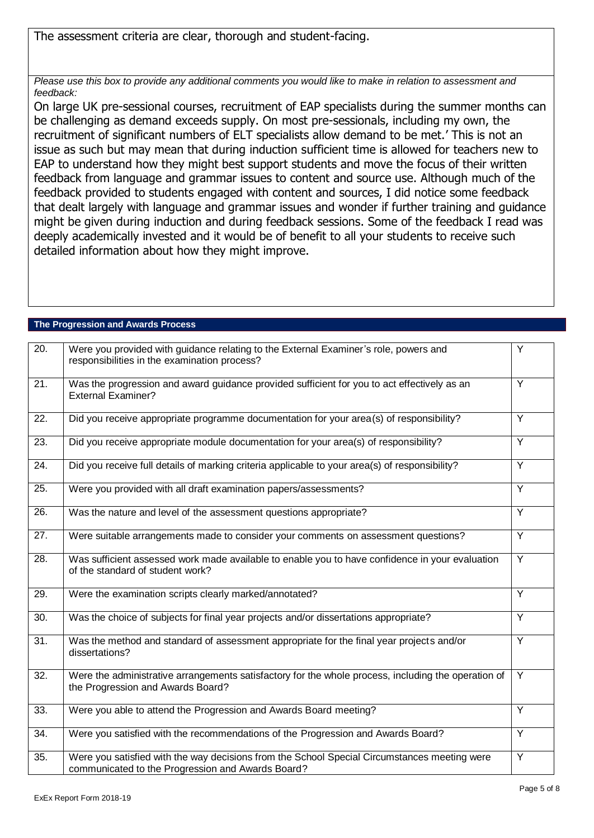The assessment criteria are clear, thorough and student-facing.

*Please use this box to provide any additional comments you would like to make in relation to assessment and feedback:*

On large UK pre-sessional courses, recruitment of EAP specialists during the summer months can be challenging as demand exceeds supply. On most pre-sessionals, including my own, the recruitment of significant numbers of ELT specialists allow demand to be met.' This is not an issue as such but may mean that during induction sufficient time is allowed for teachers new to EAP to understand how they might best support students and move the focus of their written feedback from language and grammar issues to content and source use. Although much of the feedback provided to students engaged with content and sources, I did notice some feedback that dealt largely with language and grammar issues and wonder if further training and guidance might be given during induction and during feedback sessions. Some of the feedback I read was deeply academically invested and it would be of benefit to all your students to receive such detailed information about how they might improve.

| $\overline{20}$ . | Were you provided with guidance relating to the External Examiner's role, powers and<br>responsibilities in the examination process?              | $\overline{Y}$ |
|-------------------|---------------------------------------------------------------------------------------------------------------------------------------------------|----------------|
| $\overline{21}$ . | Was the progression and award guidance provided sufficient for you to act effectively as an<br><b>External Examiner?</b>                          | Y              |
| $\overline{22}$ . | Did you receive appropriate programme documentation for your area(s) of responsibility?                                                           | Y              |
| 23.               | Did you receive appropriate module documentation for your area(s) of responsibility?                                                              | Y              |
| 24.               | Did you receive full details of marking criteria applicable to your area(s) of responsibility?                                                    | Y              |
| 25.               | Were you provided with all draft examination papers/assessments?                                                                                  | $\overline{Y}$ |
| 26.               | Was the nature and level of the assessment questions appropriate?                                                                                 | $\overline{Y}$ |
| 27.               | Were suitable arrangements made to consider your comments on assessment questions?                                                                | $\overline{Y}$ |
| 28.               | Was sufficient assessed work made available to enable you to have confidence in your evaluation<br>of the standard of student work?               | $\overline{Y}$ |
| 29.               | Were the examination scripts clearly marked/annotated?                                                                                            | $\overline{Y}$ |
| 30.               | Was the choice of subjects for final year projects and/or dissertations appropriate?                                                              | $\overline{Y}$ |
| $\overline{31}$ . | Was the method and standard of assessment appropriate for the final year projects and/or<br>dissertations?                                        | Y              |
| $\overline{32}$ . | Were the administrative arrangements satisfactory for the whole process, including the operation of<br>the Progression and Awards Board?          | Y              |
| 33.               | Were you able to attend the Progression and Awards Board meeting?                                                                                 | Y              |
| 34.               | Were you satisfied with the recommendations of the Progression and Awards Board?                                                                  | $\overline{Y}$ |
| 35.               | Were you satisfied with the way decisions from the School Special Circumstances meeting were<br>communicated to the Progression and Awards Board? | Y              |

## **The Progression and Awards Process**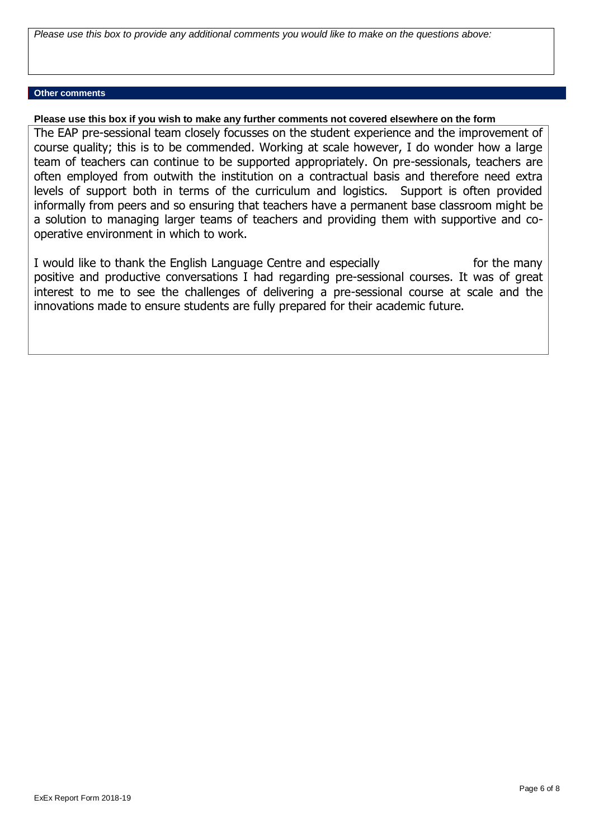*Please use this box to provide any additional comments you would like to make on the questions above:*

## **Other comments**

## **Please use this box if you wish to make any further comments not covered elsewhere on the form**

The EAP pre-sessional team closely focusses on the student experience and the improvement of course quality; this is to be commended. Working at scale however, I do wonder how a large team of teachers can continue to be supported appropriately. On pre-sessionals, teachers are often employed from outwith the institution on a contractual basis and therefore need extra levels of support both in terms of the curriculum and logistics. Support is often provided informally from peers and so ensuring that teachers have a permanent base classroom might be a solution to managing larger teams of teachers and providing them with supportive and cooperative environment in which to work.

I would like to thank the English Language Centre and especially for the many positive and productive conversations I had regarding pre-sessional courses. It was of great interest to me to see the challenges of delivering a pre-sessional course at scale and the innovations made to ensure students are fully prepared for their academic future.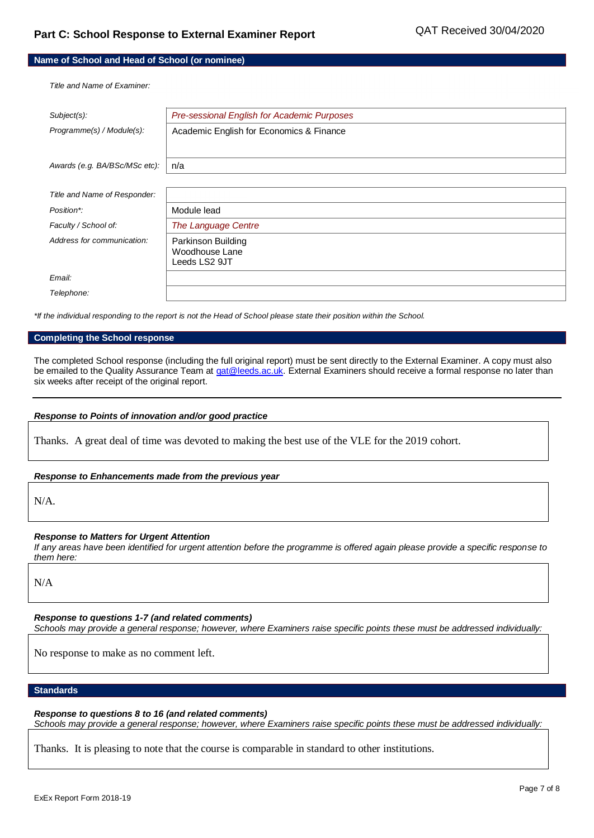### **Name of School and Head of School (or nominee)**

*Title and Name of Examiner:*

| Subject(s):                   | Pre-sessional English for Academic Purposes           |
|-------------------------------|-------------------------------------------------------|
| Programme(s) / Module(s):     | Academic English for Economics & Finance              |
|                               |                                                       |
| Awards (e.g. BA/BSc/MSc etc): | n/a                                                   |
|                               |                                                       |
| Title and Name of Responder:  |                                                       |
| Position*:                    | Module lead                                           |
| Faculty / School of:          | The Language Centre                                   |
| Address for communication:    | Parkinson Building<br>Woodhouse Lane<br>Leeds LS2 9JT |
| Email:                        |                                                       |
| Telephone:                    |                                                       |

*\*If the individual responding to the report is not the Head of School please state their position within the School.*

#### **Completing the School response**

The completed School response (including the full original report) must be sent directly to the External Examiner. A copy must also be emailed to the Quality Assurance Team a[t qat@leeds.ac.uk.](mailto:qat@leeds.ac.uk) External Examiners should receive a formal response no later than six weeks after receipt of the original report.

### *Response to Points of innovation and/or good practice*

Thanks. A great deal of time was devoted to making the best use of the VLE for the 2019 cohort.

### *Response to Enhancements made from the previous year*

N/A.

### *Response to Matters for Urgent Attention*

*If any areas have been identified for urgent attention before the programme is offered again please provide a specific response to them here:*

N/A

*Response to questions 1-7 (and related comments)*

*Schools may provide a general response; however, where Examiners raise specific points these must be addressed individually:*

No response to make as no comment left.

## **Standards**

*Response to questions 8 to 16 (and related comments) Schools may provide a general response; however, where Examiners raise specific points these must be addressed individually:*

Thanks. It is pleasing to note that the course is comparable in standard to other institutions.